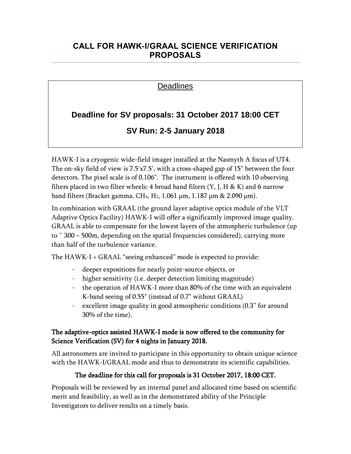## **CALL FOR HAWK-I/GRAAL SCIENCE VERIFICATION PROPOSALS**

### Deadlines

# **Deadline for SV proposals: 31 October 2017 18:00 CET**

# **SV Run: 2-5 January 2018**

HAWK-I is a cryogenic wide-field imager installed at the Nasmyth A focus of UT4. The on-sky field of view is 7.5'x7.5', with a cross-shaped gap of 15" between the four detectors. The pixel scale is of 0.106". The instrument is offered with 10 observing filters placed in two filter wheels: 4 broad band filters  $(Y, J, H \& K)$  and 6 narrow band filters (Bracket gamma, CH<sub>4</sub>, H<sub>2</sub>, 1.061  $\mu$ m, 1.187  $\mu$ m & 2.090  $\mu$ m).

In combination with GRAAL (the ground layer adaptive optics module of the VLT Adaptive Optics Facility) HAWK-I will offer a significantly improved image quality. GRAAL is able to compensate for the lowest layers of the atmospheric turbulence (up to  $\approx$  300 – 500m, depending on the spatial frequencies considered), carrying more than half of the turbulence variance.

The HAWK-I + GRAAL "seeing enhanced" mode is expected to provide:

- deeper expositions for nearly point-source objects, or
- higher sensitivity (i.e. deeper detection limiting magnitude)
- the operation of HAWK-I more than 80% of the time with an equivalent K-band seeing of 0.55" (instead of 0.7" without GRAAL)
- excellent image quality in good atmospheric conditions (0.3" for around 30% of the time).

#### The adaptive-optics assisted HAWK-I mode is now offered to the community for Science Verification (SV) for 4 nights in January 2018.

All astronomers are invited to participate in this opportunity to obtain unique science with the HAWK-I/GRAAL mode and thus to demonstrate its scientific capabilities.

### The deadline for this call for proposals is 31 October 2017, 18:00 CET.

Proposals will be reviewed by an internal panel and allocated time based on scientific merit and feasibility, as well as in the demonstrated ability of the Principle Investigators to deliver results on a timely basis.